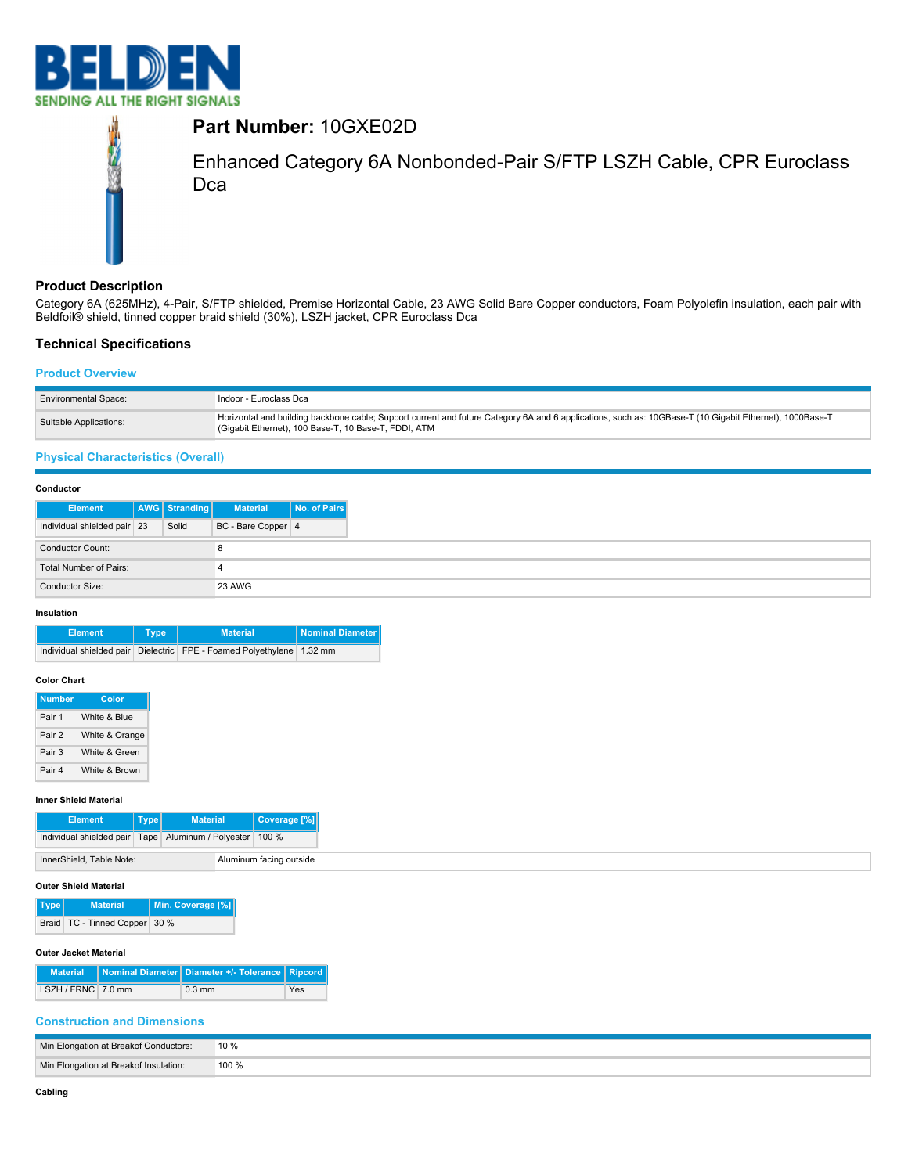



# **Part Number:** 10GXE02D

Enhanced Category 6A Nonbonded-Pair S/FTP LSZH Cable, CPR Euroclass Dca

# **Product Description**

Category 6A (625MHz), 4-Pair, S/FTP shielded, Premise Horizontal Cable, 23 AWG Solid Bare Copper conductors, Foam Polyolefin insulation, each pair with Beldfoil® shield, tinned copper braid shield (30%), LSZH jacket, CPR Euroclass Dca

# **Technical Specifications**

#### **Product Overview**

| <b>Environmental Space:</b> | Indoor - Euroclass Dca                                                                                                                                                                                          |
|-----------------------------|-----------------------------------------------------------------------------------------------------------------------------------------------------------------------------------------------------------------|
| Suitable Applications:      | Horizontal and building backbone cable; Support current and future Category 6A and 6 applications, such as: 10GBase-T (10 Gigabit Ethernet), 1000Base-T<br>(Gigabit Ethernet), 100 Base-T, 10 Base-T, FDDI, ATM |

# **Physical Characteristics (Overall)**

| Conductor                   |               |                    |              |
|-----------------------------|---------------|--------------------|--------------|
| <b>Element</b>              | AWG Stranding | <b>Material</b>    | No. of Pairs |
| Individual shielded pair 23 | Solid         | BC - Bare Copper 4 |              |
| Conductor Count:            |               |                    |              |
| Total Number of Pairs:      |               | 4                  |              |
| Conductor Size:             |               | 23 AWG             |              |

#### **Insulation**

| <b>Element</b> | Type <sup>'</sup> | <b>Material</b>                                                       | <b>Nominal Diameter</b> |
|----------------|-------------------|-----------------------------------------------------------------------|-------------------------|
|                |                   | Individual shielded pair Dielectric FPE - Foamed Polyethylene 1.32 mm |                         |

#### **Color Chart**

| <b>Number</b> | Color          |
|---------------|----------------|
| Pair 1        | White & Blue   |
| Pair 2        | White & Orange |
| Pair 3        | White & Green  |
| Pair 4        | White & Brown  |

### **Inner Shield Material**

| <b>Element</b>                                                 | <b>Type</b><br><b>Material</b> |  | Coverage [%] |
|----------------------------------------------------------------|--------------------------------|--|--------------|
| Individual shielded pair   Tape   Aluminum / Polyester   100 % |                                |  |              |
| Aluminum facing outside<br>InnerShield, Table Note:            |                                |  |              |

# **Outer Shield Material**

| Type / | <b>Material</b>                   | Min. Coverage [%] |
|--------|-----------------------------------|-------------------|
|        | Braid   TC - Tinned Copper   30 % |                   |

# **Outer Jacket Material**

|                    | Material Nominal Diameter   Diameter +/- Tolerance   Ripcord |     |
|--------------------|--------------------------------------------------------------|-----|
| LSZH / FRNC 7.0 mm | $0.3 \text{ mm}$                                             | Yes |

# **Construction and Dimensions**

| Min Elongation at Breakof Conductors: | 10 %  |
|---------------------------------------|-------|
| Min Elongation at Breakof Insulation: | 100 % |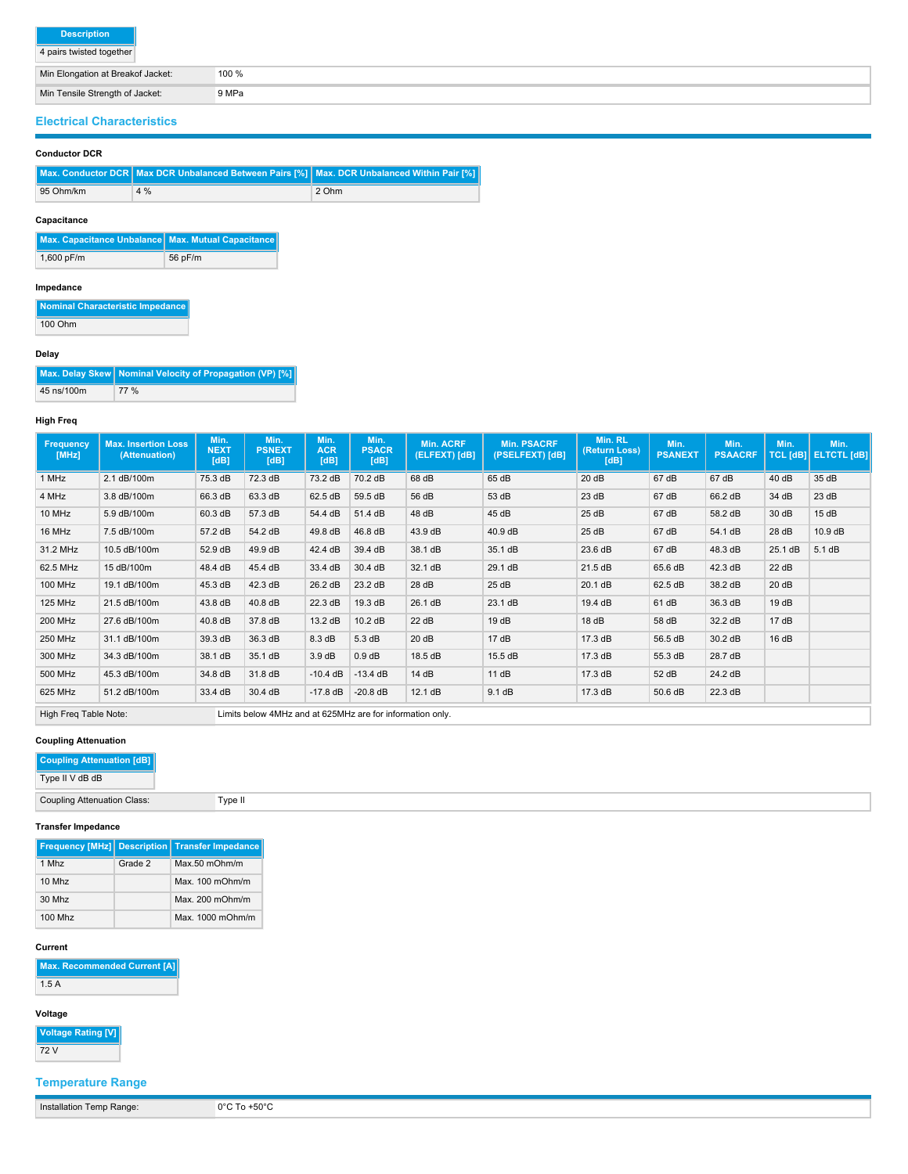4 pairs twisted together

| Min Elongation at Breakof Jacket: |
|-----------------------------------|
|-----------------------------------|

Min Tensile Strength of Jacket: 9 MPa

# **Electrical Characteristics**

#### **Conductor DCR**

|           | Max. Conductor DCR Max DCR Unbalanced Between Pairs [%] Max. DCR Unbalanced Within Pair [%] |       |
|-----------|---------------------------------------------------------------------------------------------|-------|
| 95 Ohm/km | 4%                                                                                          | 2 Ohm |

100 %

# **Capacitance**

| Max. Capacitance Unbalance Max. Mutual Capacitance |         |
|----------------------------------------------------|---------|
| 1,600 pF/m                                         | 56 pF/m |

#### **Impedance**

**Nominal Characteristic Impedance** 100 Ohm

#### **Delay**

|            | Max. Delay Skew   Nominal Velocity of Propagation (VP) [%] |
|------------|------------------------------------------------------------|
| 45 ns/100m | 77 %                                                       |

### **High Freq**

| Frequency<br>[MHz]    | <b>Max. Insertion Loss</b><br>(Attenuation) | Min.<br><b>NEXT</b><br>[dB] | Min.<br><b>PSNEXT</b><br>[dB]                             | Min.<br><b>ACR</b><br>[dB] | Min.<br><b>PSACR</b><br>[dB] | <b>Min. ACRF</b><br>(ELFEXT) [dB] | <b>Min. PSACRF</b><br>(PSELFEXT) [dB] | Min. RL<br>(Return Loss)<br>[dB] | Min.<br><b>PSANEXT</b> | Min.<br><b>PSAACRF</b> | Min.    | Min.<br>TCL [dB] ELTCTL [dB] |
|-----------------------|---------------------------------------------|-----------------------------|-----------------------------------------------------------|----------------------------|------------------------------|-----------------------------------|---------------------------------------|----------------------------------|------------------------|------------------------|---------|------------------------------|
| 1 MHz                 | 2.1 dB/100m                                 | 75.3 dB                     | 72.3 dB                                                   | 73.2 dB                    | 70.2 dB                      | 68 dB                             | 65 dB                                 | 20 dB                            | 67 dB                  | 67 dB                  | 40 dB   | 35 dB                        |
| 4 MHz                 | 3.8 dB/100m                                 | 66.3 dB                     | 63.3 dB                                                   | 62.5 dB                    | 59.5 dB                      | 56 dB                             | 53 dB                                 | 23 dB                            | 67 dB                  | 66.2 dB                | 34 dB   | 23 dB                        |
| 10 MHz                | 5.9 dB/100m                                 | 60.3 dB                     | 57.3 dB                                                   | 54.4 dB                    | 51.4 dB                      | 48 dB                             | 45 dB                                 | 25dB                             | 67 dB                  | 58.2 dB                | 30 dB   | 15dB                         |
| 16 MHz                | 7.5 dB/100m                                 | 57.2 dB                     | 54.2 dB                                                   | 49.8 dB                    | 46.8 dB                      | 43.9 dB                           | 40.9 dB                               | 25 dB                            | 67 dB                  | 54.1 dB                | 28 dB   | 10.9 dB                      |
| 31.2 MHz              | 10.5 dB/100m                                | 52.9 dB                     | 49.9 dB                                                   | 42.4 dB                    | 39.4 dB                      | 38.1 dB                           | 35.1 dB                               | 23.6 dB                          | 67 dB                  | 48.3 dB                | 25.1 dB | 5.1 dB                       |
| 62.5 MHz              | 15 dB/100m                                  | 48.4 dB                     | 45.4 dB                                                   | 33.4 dB                    | 30.4 dB                      | 32.1 dB                           | 29.1 dB                               | 21.5 dB                          | 65.6 dB                | 42.3 dB                | 22 dB   |                              |
| <b>100 MHz</b>        | 19.1 dB/100m                                | 45.3 dB                     | 42.3 dB                                                   | 26.2 dB                    | 23.2 dB                      | 28 dB                             | 25 dB                                 | 20.1 dB                          | 62.5 dB                | 38.2 dB                | 20 dB   |                              |
| <b>125 MHz</b>        | 21.5 dB/100m                                | 43.8 dB                     | 40.8 dB                                                   | 22.3 dB                    | 19.3 dB                      | 26.1 dB                           | 23.1 dB                               | 19.4 dB                          | 61 dB                  | 36.3 dB                | 19dB    |                              |
| <b>200 MHz</b>        | 27.6 dB/100m                                | 40.8 dB                     | 37.8 dB                                                   | 13.2 dB                    | 10.2 dB                      | 22 dB                             | 19dB                                  | 18dB                             | 58 dB                  | 32.2 dB                | 17dB    |                              |
| 250 MHz               | 31.1 dB/100m                                | 39.3 dB                     | 36.3 dB                                                   | 8.3 dB                     | 5.3 dB                       | 20 dB                             | 17dB                                  | 17.3 dB                          | 56.5 dB                | 30.2 dB                | 16dB    |                              |
| 300 MHz               | 34.3 dB/100m                                | 38.1 dB                     | 35.1 dB                                                   | 3.9dB                      | 0.9 dB                       | 18.5 dB                           | 15.5 dB                               | 17.3 dB                          | 55.3 dB                | 28.7 dB                |         |                              |
| 500 MHz               | 45.3 dB/100m                                | 34.8 dB                     | 31.8 dB                                                   | $-10.4$ dB                 | $-13.4$ dB                   | 14dB                              | 11 dB                                 | 17.3 dB                          | 52 dB                  | 24.2 dB                |         |                              |
| 625 MHz               | 51.2 dB/100m                                | 33.4 dB                     | 30.4 dB                                                   | $-17.8$ dB                 | $-20.8$ dB                   | 12.1 dB                           | 9.1 dB                                | 17.3 dB                          | 50.6 dB                | 22.3 dB                |         |                              |
| High Freg Table Note: |                                             |                             | Limits below 4MHz and at 625MHz are for information only. |                            |                              |                                   |                                       |                                  |                        |                        |         |                              |

### **Coupling Attenuation**

| <b>Coupling Attenuation [dB]</b> |  |
|----------------------------------|--|
| Type II V dB dB                  |  |

# Coupling Attenuation Class: Type II

### **Transfer Impedance**

|          |         | <b>Frequency [MHz] Description Transfer Impedance</b> |
|----------|---------|-------------------------------------------------------|
| 1 Mhz    | Grade 2 | $Max.50$ m $Ohm/m$                                    |
| $10$ Mhz |         | $Max$ 100 m $Ohm/m$                                   |
| 30 Mhz   |         | Max. $200 \text{ mOhm/m}$                             |
| 100 Mhz  |         | Max. 1000 mOhm/m                                      |

#### **Current**

|      | <b>Max. Recommended Current [A]</b> |  |
|------|-------------------------------------|--|
| 1.5A |                                     |  |

#### **Voltage**

| Voltage Rating [V] |
|--------------------|
| 72 V               |

# **Temperature Range**

Installation Temp Range: 0°C To +50°C